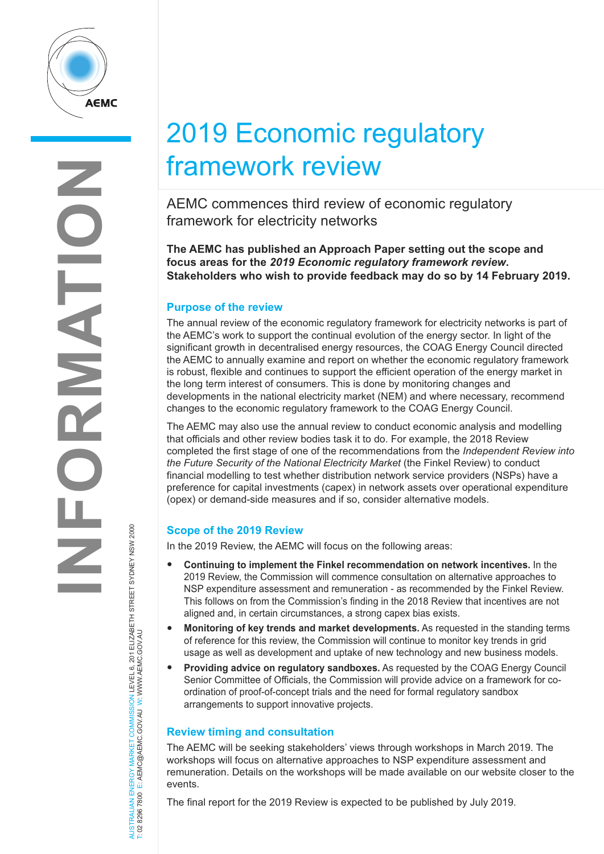

AUSTRALIAN ENERGY MARKET COMMISSION LEVEL 6, 201 ELIZABETH STREET SYDNEY NSW 2000

AUSTRALIAN ENERGY MARKET COMMISSION LEVEL 6, 201 ELIZABETH STREET SYDNEY NSW 2000<br>T: 02 8296 7800 E: AEMC@AEMC.GOV.AU W: WWW.AEMC.GOV.AU

T: 02 8296 7800 E: AEMC@AEMC.GOV.AU W: WWW.AEMC.GOV.AU

# 2019 Economic regulatory framework review

AEMC commences third review of economic regulatory framework for electricity networks

**The AEMC has published an Approach Paper setting out the scope and focus areas for the** *2019 Economic regulatory framework review***. Stakeholders who wish to provide feedback may do so by 14 February 2019.** 

## **Purpose of the review**

The annual review of the economic regulatory framework for electricity networks is part of the AEMC's work to support the continual evolution of the energy sector. In light of the significant growth in decentralised energy resources, the COAG Energy Council directed the AEMC to annually examine and report on whether the economic regulatory framework is robust, flexible and continues to support the efficient operation of the energy market in the long term interest of consumers. This is done by monitoring changes and developments in the national electricity market (NEM) and where necessary, recommend changes to the economic regulatory framework to the COAG Energy Council.

The AEMC may also use the annual review to conduct economic analysis and modelling that officials and other review bodies task it to do. For example, the 2018 Review completed the first stage of one of the recommendations from the *Independent Review into the Future Security of the National Electricity Market* (the Finkel Review) to conduct financial modelling to test whether distribution network service providers (NSPs) have a preference for capital investments (capex) in network assets over operational expenditure (opex) or demand-side measures and if so, consider alternative models.

## **Scope of the 2019 Review**

In the 2019 Review, the AEMC will focus on the following areas:

- **Continuing to implement the Finkel recommendation on network incentives.** In the 2019 Review, the Commission will commence consultation on alternative approaches to NSP expenditure assessment and remuneration - as recommended by the Finkel Review. This follows on from the Commission's finding in the 2018 Review that incentives are not aligned and, in certain circumstances, a strong capex bias exists.
- **Monitoring of key trends and market developments.** As requested in the standing terms of reference for this review, the Commission will continue to monitor key trends in grid usage as well as development and uptake of new technology and new business models.
- **Providing advice on regulatory sandboxes.** As requested by the COAG Energy Council Senior Committee of Officials, the Commission will provide advice on a framework for coordination of proof-of-concept trials and the need for formal regulatory sandbox arrangements to support innovative projects.

## **Review timing and consultation**

The AEMC will be seeking stakeholders' views through workshops in March 2019. The workshops will focus on alternative approaches to NSP expenditure assessment and remuneration. Details on the workshops will be made available on our website closer to the events.

The final report for the 2019 Review is expected to be published by July 2019.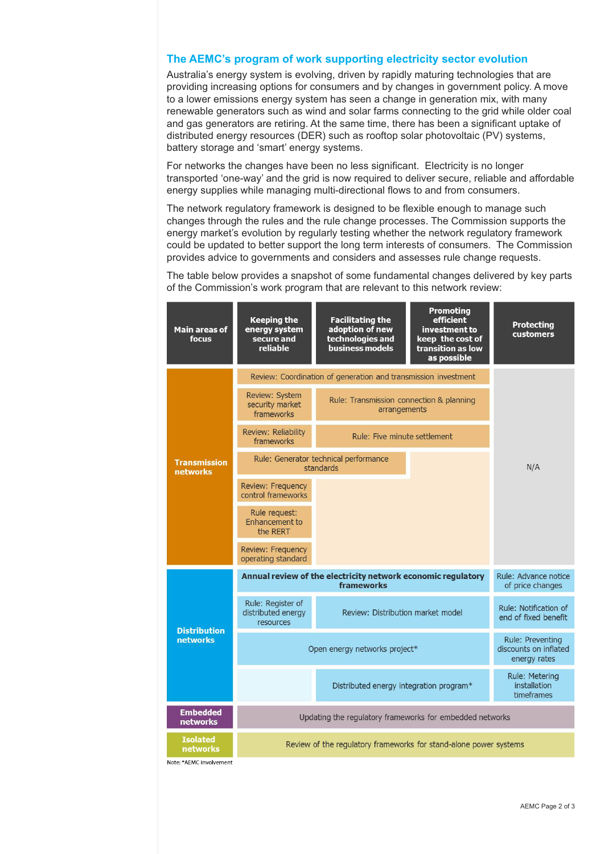### **The AEMC's program of work supporting electricity sector evolution**

Australia's energy system is evolving, driven by rapidly maturing technologies that are providing increasing options for consumers and by changes in government policy. A move to a lower emissions energy system has seen a change in generation mix, with many renewable generators such as wind and solar farms connecting to the grid while older coal and gas generators are retiring. At the same time, there has been a significant uptake of distributed energy resources (DER) such as rooftop solar photovoltaic (PV) systems, battery storage and 'smart' energy systems.

For networks the changes have been no less significant. Electricity is no longer transported 'one-way' and the grid is now required to deliver secure, reliable and affordable energy supplies while managing multi-directional flows to and from consumers.

The network regulatory framework is designed to be flexible enough to manage such changes through the rules and the rule change processes. The Commission supports the energy market's evolution by regularly testing whether the network regulatory framework could be updated to better support the long term interests of consumers. The Commission provides advice to governments and considers and assesses rule change requests.

The table below provides a snapshot of some fundamental changes delivered by key parts of the Commission's work program that are relevant to this network review: